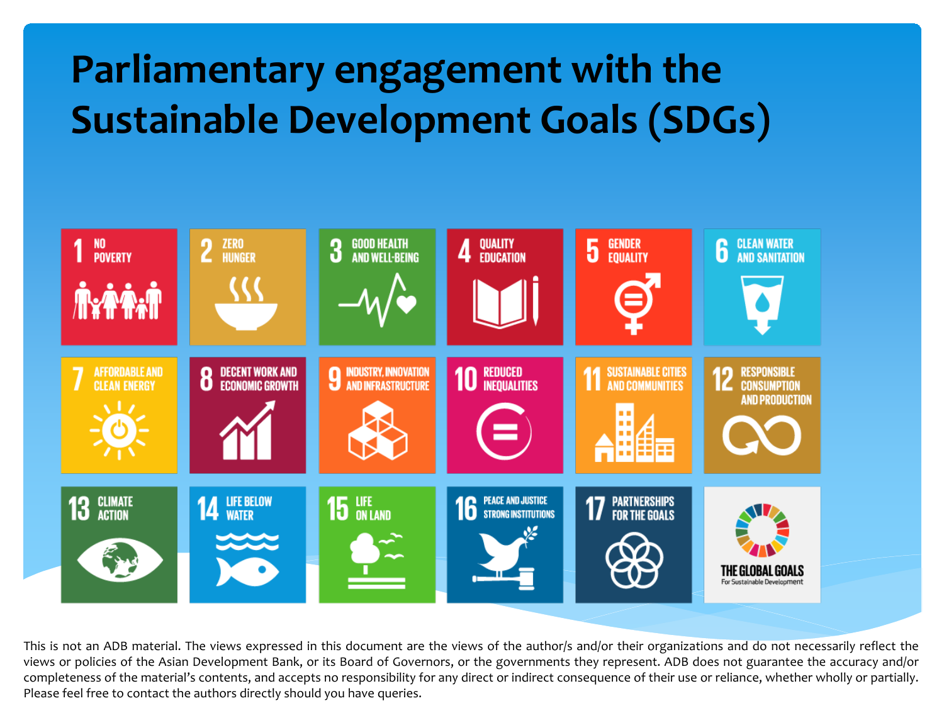#### **Parliamentary engagement with the Sustainable Development Goals (SDGs)**



This is not an ADB material. The views expressed in this document are the views of the author/s and/or their organizations and do not necessarily reflect the views or policies of the Asian Development Bank, or its Board of Governors, or the governments they represent. ADB does not guarantee the accuracy and/or completeness of the material's contents, and accepts no responsibility for any direct or indirect consequence of their use or reliance, whether wholly or partially. Please feel free to contact the authors directly should you have queries.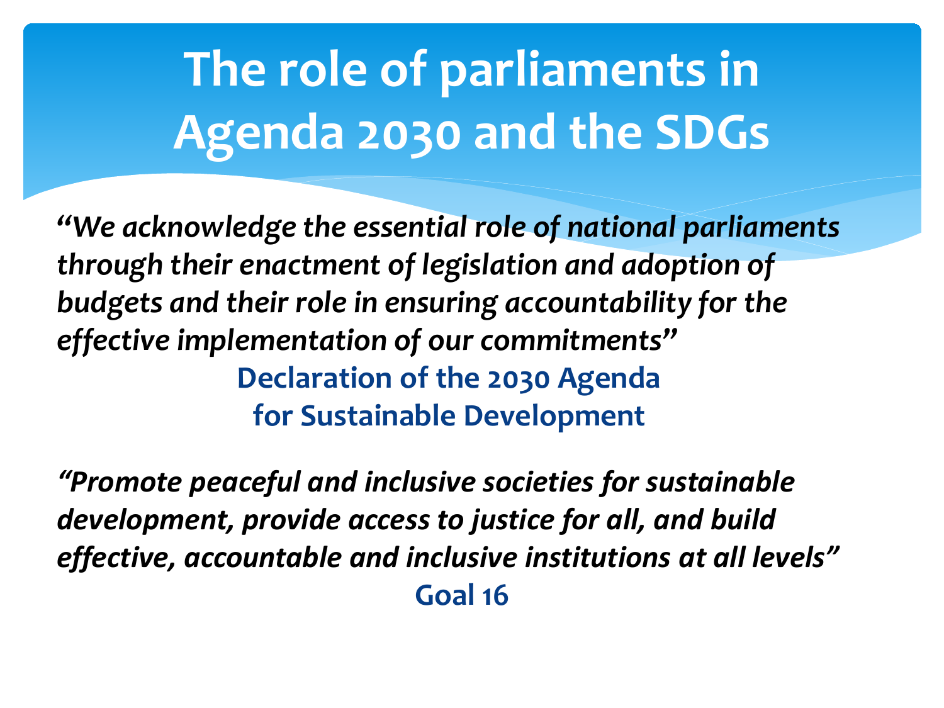## **The role of parliaments in Agenda 2030 and the SDGs**

*"We acknowledge the essential role of national parliaments through their enactment of legislation and adoption of budgets and their role in ensuring accountability for the effective implementation of our commitments"* **Declaration of the 2030 Agenda for Sustainable Development** 

*"Promote peaceful and inclusive societies for sustainable development, provide access to justice for all, and build effective, accountable and inclusive institutions at all levels"* **Goal 16**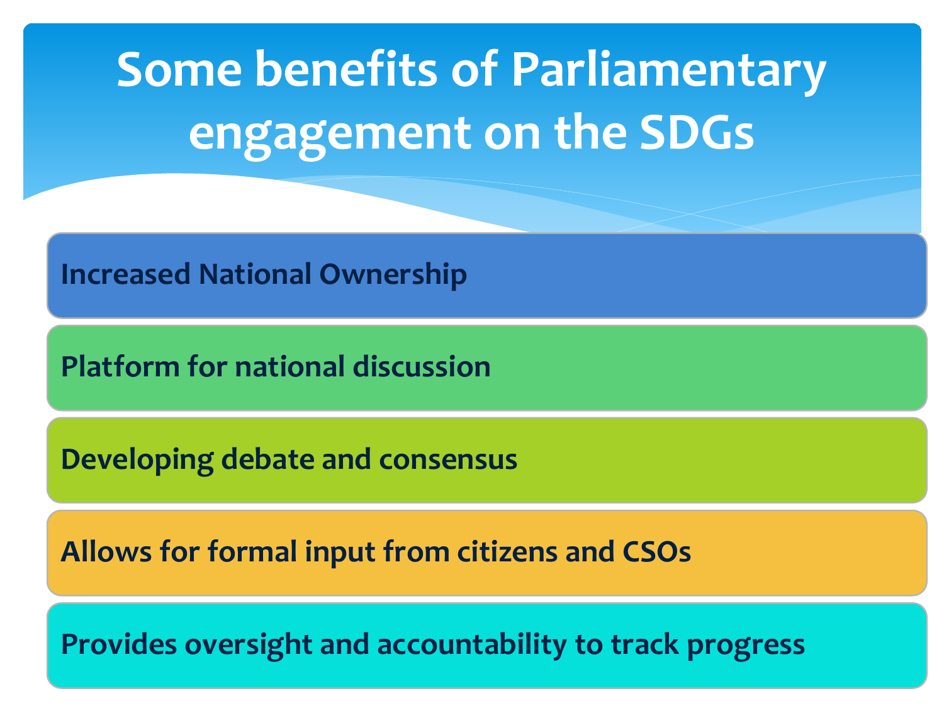**Some benefits of Parliamentary engagement on the SDGs**

**Increased National Ownership**

**Platform for national discussion**

**Developing debate and consensus**

**Allows for formal input from citizens and CSOs**

**Provides oversight and accountability to track progress**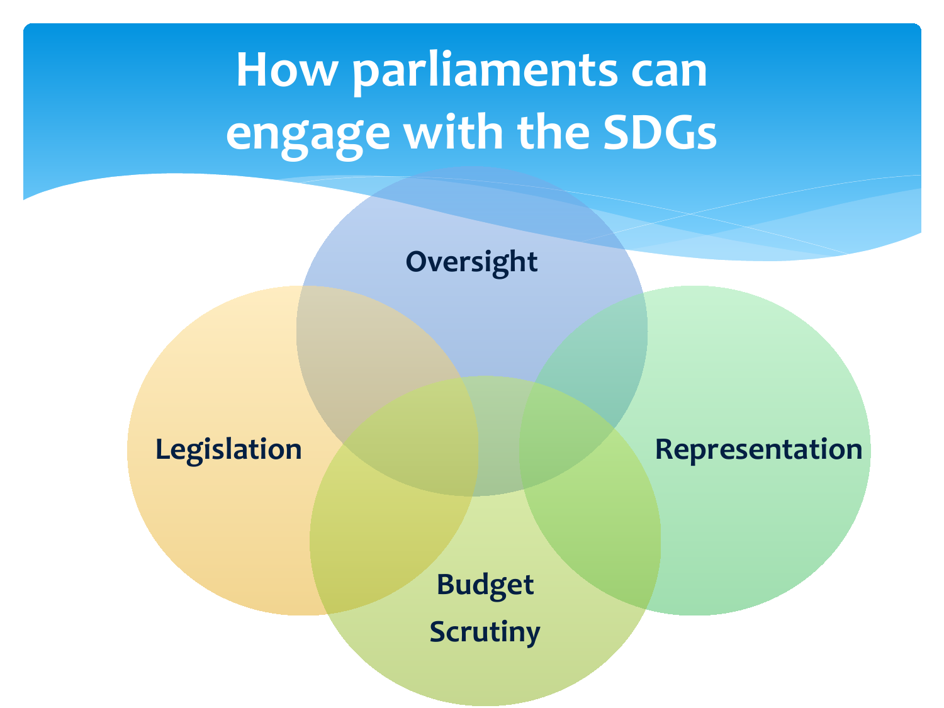## **How parliaments can engage with the SDGs**

**Oversight**

**Legislation Representation** 

**Budget Scrutiny**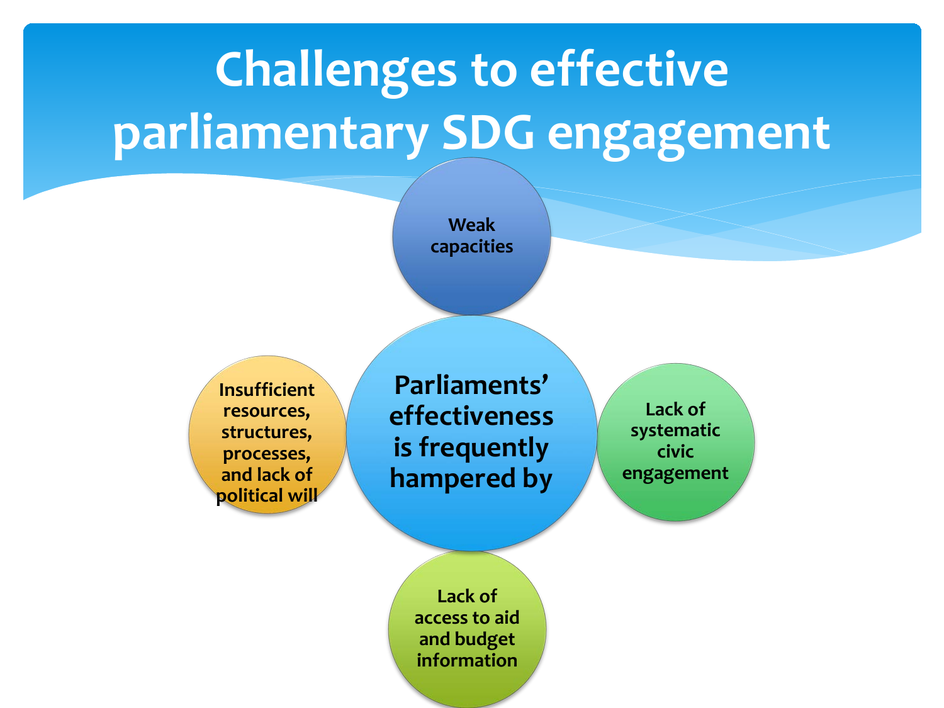# **Challenges to effective parliamentary SDG engagement**

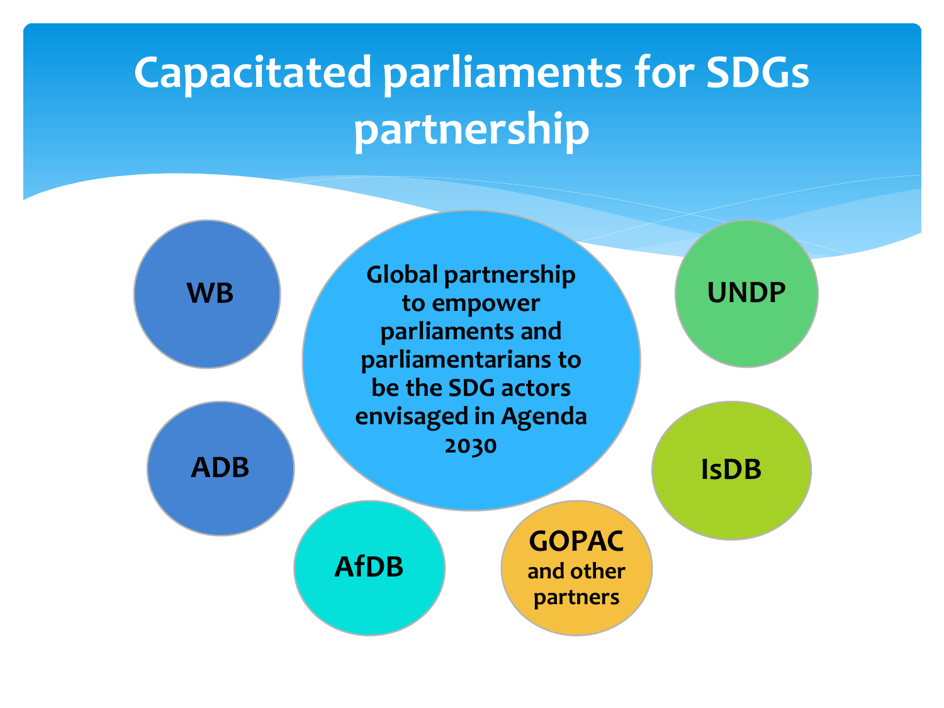## **Capacitated parliaments for SDGs partnership**

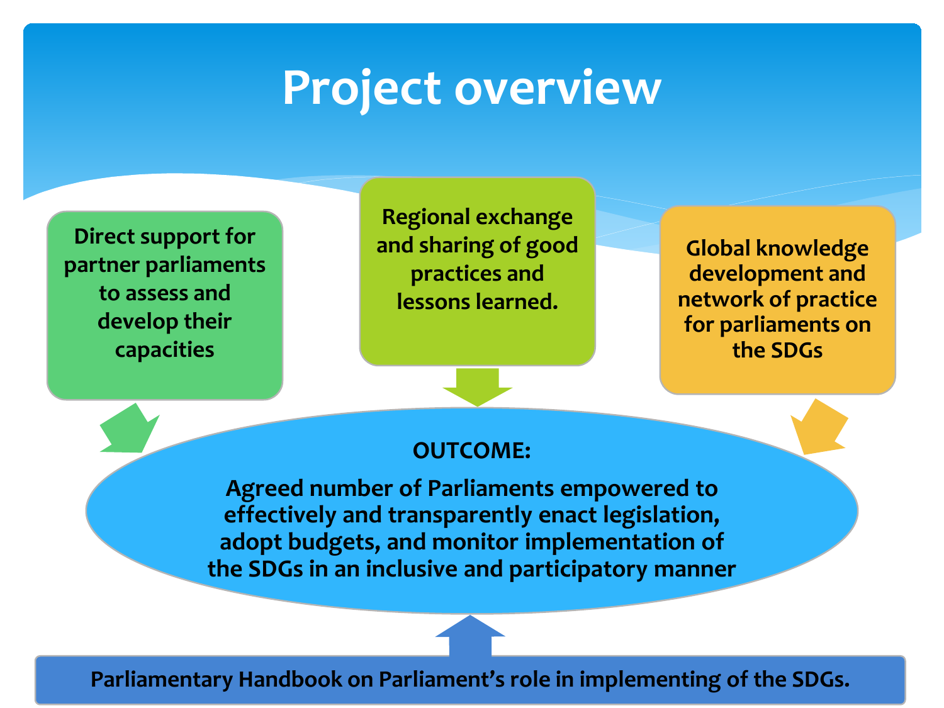### **Project overview**

**Direct support for partner parliaments to assess and develop their capacities**

**Regional exchange and sharing of good practices and lessons learned.** 

**Global knowledge development and network of practice for parliaments on the SDGs**

#### **OUTCOME:**

**Agreed number of Parliaments empowered to effectively and transparently enact legislation, adopt budgets, and monitor implementation of the SDGs in an inclusive and participatory manner**

**Parliamentary Handbook on Parliament's role in implementing of the SDGs.**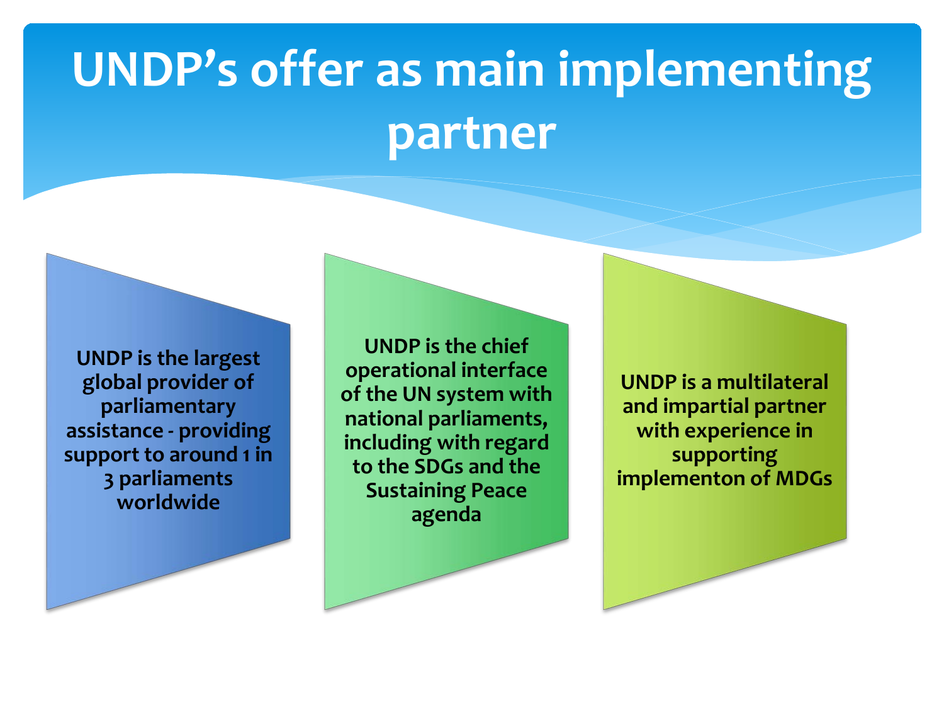## **UNDP's offer as main implementing partner**

**UNDP is the largest global provider of parliamentary assistance - providing support to around 1 in 3 parliaments worldwide** 

**UNDP is the chief operational interface of the UN system with national parliaments, including with regard to the SDGs and the Sustaining Peace agenda**

**UNDP is a multilateral and impartial partner with experience in supporting implementon of MDGs**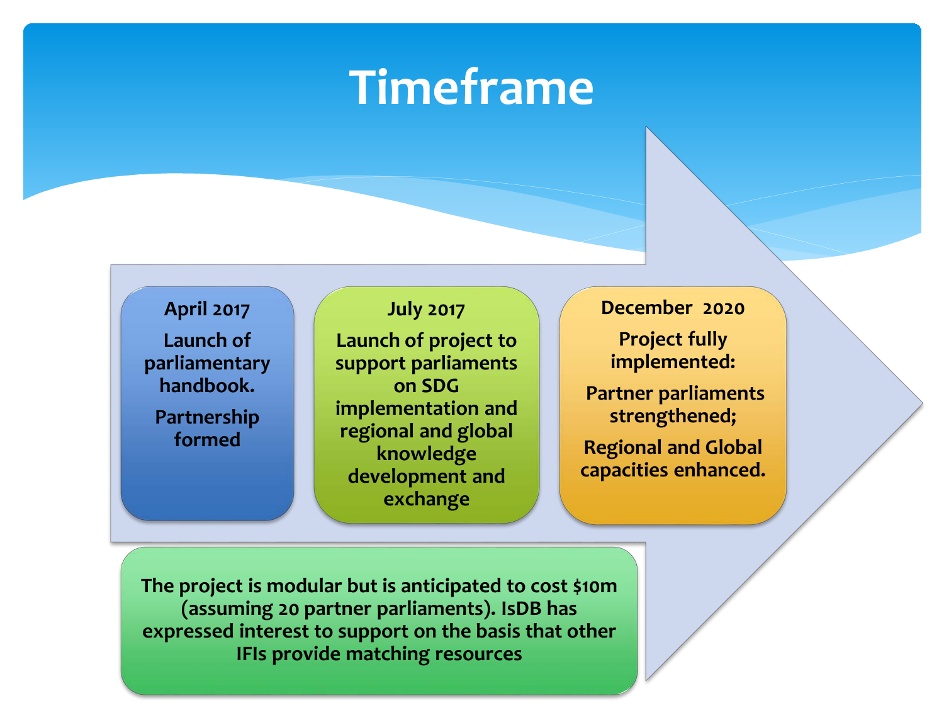#### **Timeframe**

**April 2017 Launch of parliamentary handbook.**

**Partnership formed**

**July 2017 Launch of project to support parliaments on SDG implementation and regional and global knowledge development and exchange**

**December 2020**

**Project fully implemented:**

**Partner parliaments strengthened;**

**Regional and Global capacities enhanced.**

**The project is modular but is anticipated to cost \$10m (assuming 20 partner parliaments). IsDB has expressed interest to support on the basis that other IFIs provide matching resources**